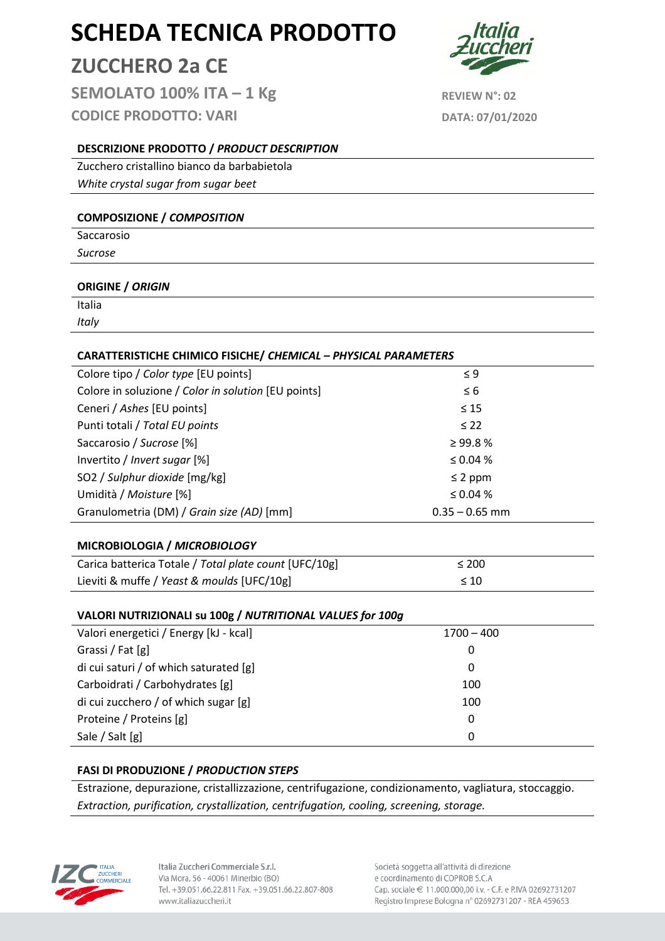# ZUCCHERO 2a CE

SEMOLATO  $100\%$  ITA  $-1$  Kg REVIEW N°: 02 CODICE PRODOTTO: VARI DATA: 07/01/2020



# DESCRIZIONE PRODOTTO / PRODUCT DESCRIPTION

Zucchero cristallino bianco da barbabietola White crystal sugar from sugar beet

#### COMPOSIZIONE / COMPOSITION

Saccarosio Sucrose

#### ORIGINE / ORIGIN

Italia **Italy** 

# CARATTERISTICHE CHIMICO FISICHE/ CHEMICAL – PHYSICAL PARAMETERS

| Colore tipo / Color type [EU points]                | $\leq 9$         |  |
|-----------------------------------------------------|------------------|--|
| Colore in soluzione / Color in solution [EU points] | $\leq 6$         |  |
| Ceneri / Ashes [EU points]                          | $\leq 15$        |  |
| Punti totali / Total EU points                      | $\leq$ 22        |  |
| Saccarosio / Sucrose [%]                            | $\geq$ 99.8%     |  |
| Invertito / Invert sugar [%]                        | $\leq 0.04\%$    |  |
| SO2 / Sulphur dioxide [mg/kg]                       | $\leq$ 2 ppm     |  |
| Umidità / Moisture [%]                              | $\leq 0.04\%$    |  |
| Granulometria (DM) / Grain size (AD) [mm]           | $0.35 - 0.65$ mm |  |

#### MICROBIOLOGIA / MICROBIOLOGY

| Carica batterica Totale / Total plate count [UFC/10g] | $\leq 200$ |
|-------------------------------------------------------|------------|
| Lieviti & muffe / Yeast & moulds [UFC/10g]            | $\leq 10$  |

#### VALORI NUTRIZIONALI su 100g / NUTRITIONAL VALUES for 100g

| Valori energetici / Energy [kJ - kcal] | $1700 - 400$ |
|----------------------------------------|--------------|
| Grassi / Fat [g]                       | O            |
| di cui saturi / of which saturated [g] | 0            |
| Carboidrati / Carbohydrates [g]        | 100          |
| di cui zucchero / of which sugar [g]   | 100          |
| Proteine / Proteins [g]                | 0            |
| Sale / Salt [g]                        | O            |

#### FASI DI PRODUZIONE / PRODUCTION STEPS

Estrazione, depurazione, cristallizzazione, centrifugazione, condizionamento, vagliatura, stoccaggio. Extraction, purification, crystallization, centrifugation, cooling, screening, storage.



Italia Zuccheri Commerciale S.r.l. Via Mora, 56 - 40061 Minerbio (BO) Tel. +39.051.66.22.811 Fax. +39.051.66.22.807-808 www.italiazuccheri.it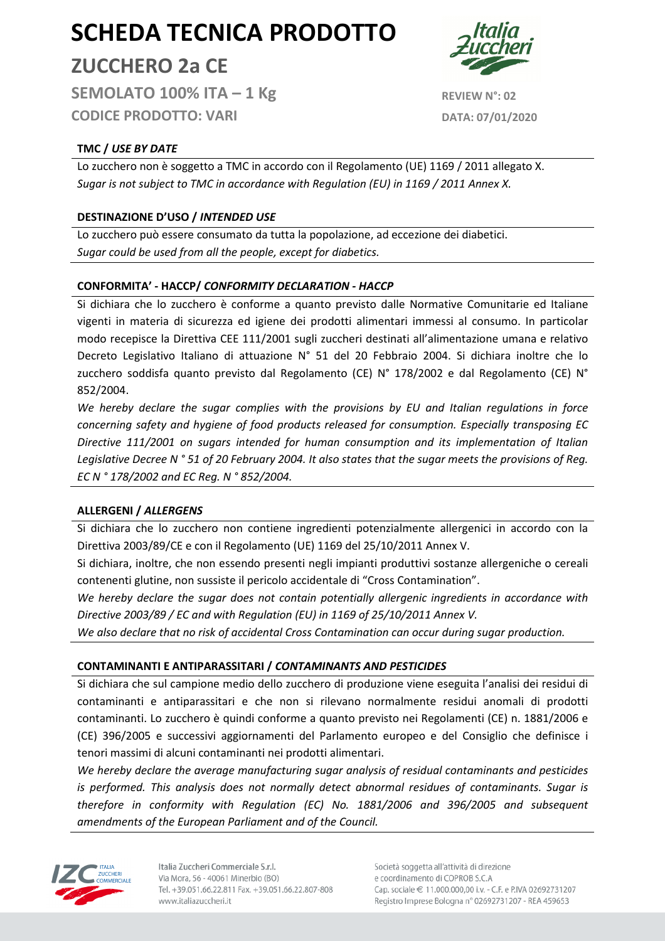ZUCCHERO 2a CE

SEMOLATO  $100\%$  ITA  $-1$  Kg REVIEW N°: 02 CODICE PRODOTTO: VARI DATA: 07/01/2020

# TMC / USE BY DATE

Lo zucchero non è soggetto a TMC in accordo con il Regolamento (UE) 1169 / 2011 allegato X. Sugar is not subject to TMC in accordance with Regulation (EU) in 1169 / 2011 Annex X.

# DESTINAZIONE D'USO / INTENDED USE

Lo zucchero può essere consumato da tutta la popolazione, ad eccezione dei diabetici. Sugar could be used from all the people, except for diabetics.

#### CONFORMITA' - HACCP/ CONFORMITY DECLARATION - HACCP

Si dichiara che lo zucchero è conforme a quanto previsto dalle Normative Comunitarie ed Italiane vigenti in materia di sicurezza ed igiene dei prodotti alimentari immessi al consumo. In particolar modo recepisce la Direttiva CEE 111/2001 sugli zuccheri destinati all'alimentazione umana e relativo Decreto Legislativo Italiano di attuazione N° 51 del 20 Febbraio 2004. Si dichiara inoltre che lo zucchero soddisfa quanto previsto dal Regolamento (CE) N° 178/2002 e dal Regolamento (CE) N° 852/2004.

We hereby declare the sugar complies with the provisions by EU and Italian regulations in force concerning safety and hygiene of food products released for consumption. Especially transposing EC Directive 111/2001 on sugars intended for human consumption and its implementation of Italian Legislative Decree N ° 51 of 20 February 2004. It also states that the sugar meets the provisions of Reg. EC N ° 178/2002 and EC Reg. N ° 852/2004.

# ALLERGENI / ALLERGENS

Si dichiara che lo zucchero non contiene ingredienti potenzialmente allergenici in accordo con la Direttiva 2003/89/CE e con il Regolamento (UE) 1169 del 25/10/2011 Annex V.

Si dichiara, inoltre, che non essendo presenti negli impianti produttivi sostanze allergeniche o cereali contenenti glutine, non sussiste il pericolo accidentale di "Cross Contamination".

We hereby declare the sugar does not contain potentially allergenic ingredients in accordance with Directive 2003/89 / EC and with Regulation (EU) in 1169 of 25/10/2011 Annex V.

We also declare that no risk of accidental Cross Contamination can occur during sugar production.

# CONTAMINANTI E ANTIPARASSITARI / CONTAMINANTS AND PESTICIDES

Si dichiara che sul campione medio dello zucchero di produzione viene eseguita l'analisi dei residui di contaminanti e antiparassitari e che non si rilevano normalmente residui anomali di prodotti contaminanti. Lo zucchero è quindi conforme a quanto previsto nei Regolamenti (CE) n. 1881/2006 e (CE) 396/2005 e successivi aggiornamenti del Parlamento europeo e del Consiglio che definisce i tenori massimi di alcuni contaminanti nei prodotti alimentari.

We hereby declare the average manufacturing sugar analysis of residual contaminants and pesticides is performed. This analysis does not normally detect abnormal residues of contaminants. Sugar is therefore in conformity with Regulation (EC) No. 1881/2006 and 396/2005 and subsequent amendments of the European Parliament and of the Council.



Italia Zuccheri Commerciale S.r.l. Via Mora, 56 - 40061 Minerbio (BO) Tel. +39.051.66.22.811 Fax. +39.051.66.22.807-808 www.italiazuccheri.it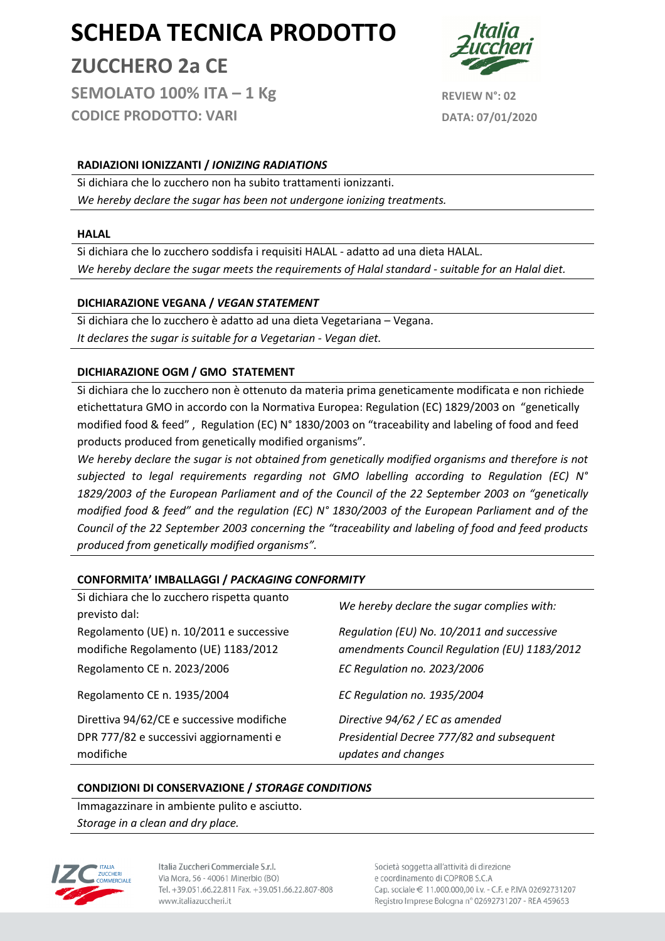ZUCCHERO 2a CE

SEMOLATO  $100\%$  ITA  $-1$  Kg REVIEW N°: 02 CODICE PRODOTTO: VARI DATA: 07/01/2020

# RADIAZIONI IONIZZANTI / IONIZING RADIATIONS

Si dichiara che lo zucchero non ha subito trattamenti ionizzanti. We hereby declare the sugar has been not undergone ionizing treatments.

#### HALAL

Si dichiara che lo zucchero soddisfa i requisiti HALAL - adatto ad una dieta HALAL. We hereby declare the sugar meets the requirements of Halal standard - suitable for an Halal diet.

# DICHIARAZIONE VEGANA / VEGAN STATEMENT

Si dichiara che lo zucchero è adatto ad una dieta Vegetariana – Vegana. It declares the sugar is suitable for a Vegetarian - Vegan diet.

# DICHIARAZIONE OGM / GMO STATEMENT

Si dichiara che lo zucchero non è ottenuto da materia prima geneticamente modificata e non richiede etichettatura GMO in accordo con la Normativa Europea: Regulation (EC) 1829/2003 on "genetically modified food & feed" , Regulation (EC) N° 1830/2003 on "traceability and labeling of food and feed products produced from genetically modified organisms".

We hereby declare the sugar is not obtained from genetically modified organisms and therefore is not subjected to legal requirements regarding not GMO labelling according to Regulation (EC)  $N^{\circ}$ 1829/2003 of the European Parliament and of the Council of the 22 September 2003 on "genetically modified food & feed" and the regulation (EC) N° 1830/2003 of the European Parliament and of the Council of the 22 September 2003 concerning the "traceability and labeling of food and feed products produced from genetically modified organisms".

#### CONFORMITA' IMBALLAGGI / PACKAGING CONFORMITY

| Regolamento CE n. 1935/2004                 | EC Regulation no. 1935/2004                  |  |  |  |
|---------------------------------------------|----------------------------------------------|--|--|--|
| Direttiva 94/62/CE e successive modifiche   | Directive 94/62 / EC as amended              |  |  |  |
| DPR 777/82 e successivi aggiornamenti e     | Presidential Decree 777/82 and subsequent    |  |  |  |
| modifiche                                   | updates and changes                          |  |  |  |
| previsto dal:                               | We hereby declare the sugar complies with:   |  |  |  |
| Regolamento (UE) n. 10/2011 e successive    | Regulation (EU) No. 10/2011 and successive   |  |  |  |
| modifiche Regolamento (UE) 1183/2012        | amendments Council Regulation (EU) 1183/2012 |  |  |  |
| Regolamento CE n. 2023/2006                 | EC Regulation no. 2023/2006                  |  |  |  |
| Si dichiara che lo zucchero rispetta quanto |                                              |  |  |  |

#### CONDIZIONI DI CONSERVAZIONE / STORAGE CONDITIONS

Immagazzinare in ambiente pulito e asciutto. Storage in a clean and dry place.



Italia Zuccheri Commerciale S.r.l. Via Mora, 56 - 40061 Minerbio (BO) Tel. +39.051.66.22.811 Fax. +39.051.66.22.807-808 www.italiazuccheri.it

Società soggetta all'attività di direzione e coordinamento di COPROB S.C.A Cap. sociale € 11.000.000,00 i.v. - C.F. e P.IVA 02692731207 Registro Imprese Bologna nº 02692731207 - REA 459653